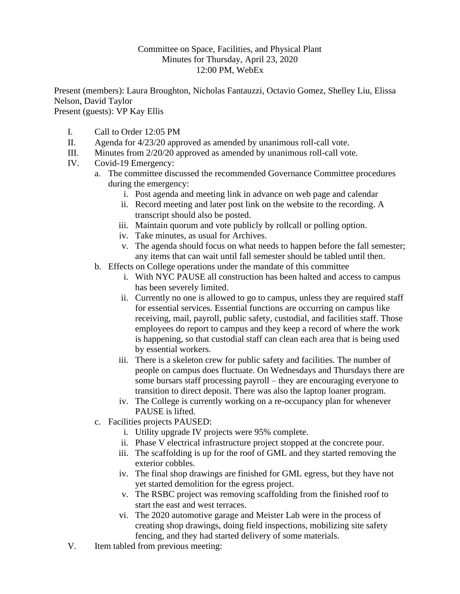## Committee on Space, Facilities, and Physical Plant Minutes for Thursday, April 23, 2020 12:00 PM, WebEx

Present (members): Laura Broughton, Nicholas Fantauzzi, Octavio Gomez, Shelley Liu, Elissa Nelson, David Taylor Present (guests): VP Kay Ellis

- I. Call to Order 12:05 PM
- II. Agenda for 4/23/20 approved as amended by unanimous roll-call vote.
- III. Minutes from 2/20/20 approved as amended by unanimous roll-call vote.
- IV. Covid-19 Emergency:
	- a. The committee discussed the recommended Governance Committee procedures during the emergency:
		- i. Post agenda and meeting link in advance on web page and calendar
			- ii. Record meeting and later post link on the website to the recording. A transcript should also be posted.
		- iii. Maintain quorum and vote publicly by rollcall or polling option.
		- iv. Take minutes, as usual for Archives.
		- v. The agenda should focus on what needs to happen before the fall semester; any items that can wait until fall semester should be tabled until then.
	- b. Effects on College operations under the mandate of this committee
		- i. With NYC PAUSE all construction has been halted and access to campus has been severely limited.
		- ii. Currently no one is allowed to go to campus, unless they are required staff for essential services. Essential functions are occurring on campus like receiving, mail, payroll, public safety, custodial, and facilities staff. Those employees do report to campus and they keep a record of where the work is happening, so that custodial staff can clean each area that is being used by essential workers.
		- iii. There is a skeleton crew for public safety and facilities. The number of people on campus does fluctuate. On Wednesdays and Thursdays there are some bursars staff processing payroll – they are encouraging everyone to transition to direct deposit. There was also the laptop loaner program.
		- iv. The College is currently working on a re-occupancy plan for whenever PAUSE is lifted.
	- c. Facilities projects PAUSED:
		- i. Utility upgrade IV projects were 95% complete.
		- ii. Phase V electrical infrastructure project stopped at the concrete pour.
		- iii. The scaffolding is up for the roof of GML and they started removing the exterior cobbles.
		- iv. The final shop drawings are finished for GML egress, but they have not yet started demolition for the egress project.
		- v. The RSBC project was removing scaffolding from the finished roof to start the east and west terraces.
		- vi. The 2020 automotive garage and Meister Lab were in the process of creating shop drawings, doing field inspections, mobilizing site safety fencing, and they had started delivery of some materials.
- V. Item tabled from previous meeting: